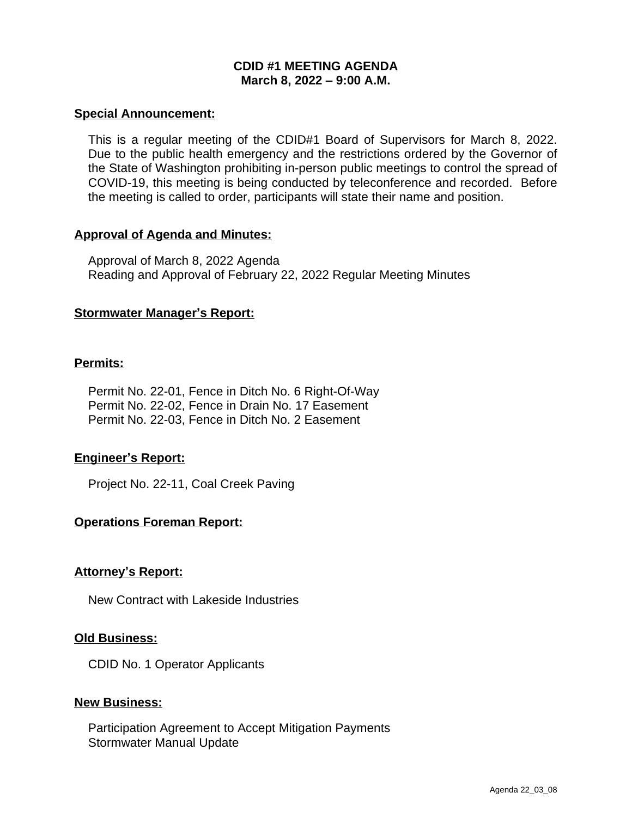# **CDID #1 MEETING AGENDA March 8, 2022 – 9:00 A.M.**

### **Special Announcement:**

This is a regular meeting of the CDID#1 Board of Supervisors for March 8, 2022. Due to the public health emergency and the restrictions ordered by the Governor of the State of Washington prohibiting in-person public meetings to control the spread of COVID-19, this meeting is being conducted by teleconference and recorded. Before the meeting is called to order, participants will state their name and position.

### **Approval of Agenda and Minutes:**

Approval of March 8, 2022 Agenda Reading and Approval of February 22, 2022 Regular Meeting Minutes

### **Stormwater Manager's Report:**

### **Permits:**

Permit No. 22-01, Fence in Ditch No. 6 Right-Of-Way Permit No. 22-02, Fence in Drain No. 17 Easement Permit No. 22-03, Fence in Ditch No. 2 Easement

# **Engineer's Report:**

Project No. 22-11, Coal Creek Paving

# **Operations Foreman Report:**

#### **Attorney's Report:**

New Contract with Lakeside Industries

#### **Old Business:**

CDID No. 1 Operator Applicants

#### **New Business:**

Participation Agreement to Accept Mitigation Payments Stormwater Manual Update